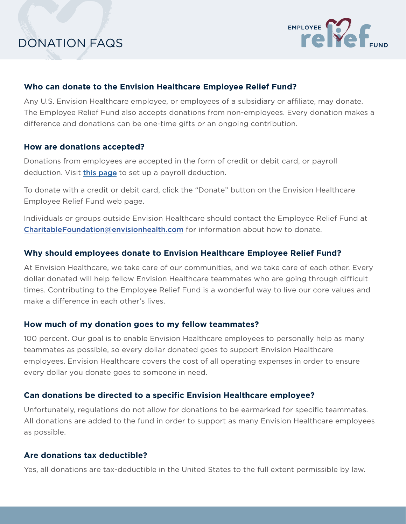



## **Who can donate to the Envision Healthcare Employee Relief Fund?**

Any U.S. Envision Healthcare employee, or employees of a subsidiary or affiliate, may donate. The Employee Relief Fund also accepts donations from non-employees. Every donation makes a difference and donations can be one-time gifts or an ongoing contribution.

## **How are donations accepted?**

Donations from employees are accepted in the form of credit or debit card, or payroll deduction. Visit [this page](https://www.envisionhealth.com/employees/employee-relief-fund/donate) to set up a payroll deduction.

To donate with a credit or debit card, click the "Donate" button on the Envision Healthcare Employee Relief Fund web page.

Individuals or groups outside Envision Healthcare should contact the Employee Relief Fund at [CharitableFoundation@](mailto:charitablefoundation@envisionhealth.com)envisionhealth.com for information about how to donate.

# **Why should employees donate to Envision Healthcare Employee Relief Fund?**

At Envision Healthcare, we take care of our communities, and we take care of each other. Every dollar donated will help fellow Envision Healthcare teammates who are going through difficult times. Contributing to the Employee Relief Fund is a wonderful way to live our core values and make a difference in each other's lives.

## **How much of my donation goes to my fellow teammates?**

100 percent. Our goal is to enable Envision Healthcare employees to personally help as many teammates as possible, so every dollar donated goes to support Envision Healthcare employees. Envision Healthcare covers the cost of all operating expenses in order to ensure every dollar you donate goes to someone in need.

## **Can donations be directed to a specific Envision Healthcare employee?**

Unfortunately, regulations do not allow for donations to be earmarked for specific teammates. All donations are added to the fund in order to support as many Envision Healthcare employees as possible.

## **Are donations tax deductible?**

Yes, all donations are tax-deductible in the United States to the full extent permissible by law.